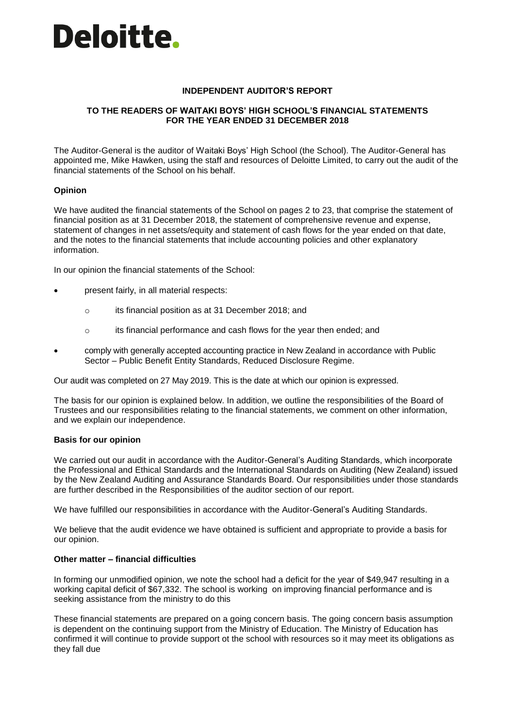# **Deloitte.**

### **INDEPENDENT AUDITOR'S REPORT**

## **TO THE READERS OF WAITAKI BOYS' HIGH SCHOOL'S FINANCIAL STATEMENTS FOR THE YEAR ENDED 31 DECEMBER 2018**

The Auditor-General is the auditor of Waitaki Boys' High School (the School). The Auditor-General has appointed me, Mike Hawken, using the staff and resources of Deloitte Limited, to carry out the audit of the financial statements of the School on his behalf.

### **Opinion**

We have audited the financial statements of the School on pages 2 to 23, that comprise the statement of financial position as at 31 December 2018, the statement of comprehensive revenue and expense, statement of changes in net assets/equity and statement of cash flows for the year ended on that date, and the notes to the financial statements that include accounting policies and other explanatory information.

In our opinion the financial statements of the School:

- present fairly, in all material respects:
	- o its financial position as at 31 December 2018; and
	- o its financial performance and cash flows for the year then ended; and
- comply with generally accepted accounting practice in New Zealand in accordance with Public Sector – Public Benefit Entity Standards, Reduced Disclosure Regime.

Our audit was completed on 27 May 2019. This is the date at which our opinion is expressed.

The basis for our opinion is explained below. In addition, we outline the responsibilities of the Board of Trustees and our responsibilities relating to the financial statements, we comment on other information, and we explain our independence.

### **Basis for our opinion**

We carried out our audit in accordance with the Auditor-General's Auditing Standards, which incorporate the Professional and Ethical Standards and the International Standards on Auditing (New Zealand) issued by the New Zealand Auditing and Assurance Standards Board. Our responsibilities under those standards are further described in the Responsibilities of the auditor section of our report.

We have fulfilled our responsibilities in accordance with the Auditor-General's Auditing Standards.

We believe that the audit evidence we have obtained is sufficient and appropriate to provide a basis for our opinion.

### **Other matter – financial difficulties**

In forming our unmodified opinion, we note the school had a deficit for the year of \$49,947 resulting in a working capital deficit of \$67,332. The school is working on improving financial performance and is seeking assistance from the ministry to do this

These financial statements are prepared on a going concern basis. The going concern basis assumption is dependent on the continuing support from the Ministry of Education. The Ministry of Education has confirmed it will continue to provide support ot the school with resources so it may meet its obligations as they fall due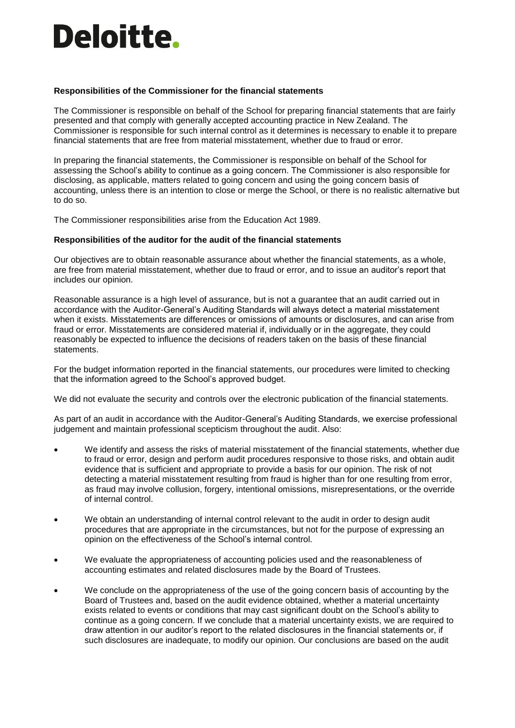# **Deloitte.**

### **Responsibilities of the Commissioner for the financial statements**

The Commissioner is responsible on behalf of the School for preparing financial statements that are fairly presented and that comply with generally accepted accounting practice in New Zealand. The Commissioner is responsible for such internal control as it determines is necessary to enable it to prepare financial statements that are free from material misstatement, whether due to fraud or error.

In preparing the financial statements, the Commissioner is responsible on behalf of the School for assessing the School's ability to continue as a going concern. The Commissioner is also responsible for disclosing, as applicable, matters related to going concern and using the going concern basis of accounting, unless there is an intention to close or merge the School, or there is no realistic alternative but to do so.

The Commissioner responsibilities arise from the Education Act 1989.

### **Responsibilities of the auditor for the audit of the financial statements**

Our objectives are to obtain reasonable assurance about whether the financial statements, as a whole, are free from material misstatement, whether due to fraud or error, and to issue an auditor's report that includes our opinion.

Reasonable assurance is a high level of assurance, but is not a guarantee that an audit carried out in accordance with the Auditor-General's Auditing Standards will always detect a material misstatement when it exists. Misstatements are differences or omissions of amounts or disclosures, and can arise from fraud or error. Misstatements are considered material if, individually or in the aggregate, they could reasonably be expected to influence the decisions of readers taken on the basis of these financial statements.

For the budget information reported in the financial statements, our procedures were limited to checking that the information agreed to the School's approved budget.

We did not evaluate the security and controls over the electronic publication of the financial statements.

As part of an audit in accordance with the Auditor-General's Auditing Standards, we exercise professional judgement and maintain professional scepticism throughout the audit. Also:

- We identify and assess the risks of material misstatement of the financial statements, whether due to fraud or error, design and perform audit procedures responsive to those risks, and obtain audit evidence that is sufficient and appropriate to provide a basis for our opinion. The risk of not detecting a material misstatement resulting from fraud is higher than for one resulting from error, as fraud may involve collusion, forgery, intentional omissions, misrepresentations, or the override of internal control.
- We obtain an understanding of internal control relevant to the audit in order to design audit procedures that are appropriate in the circumstances, but not for the purpose of expressing an opinion on the effectiveness of the School's internal control.
- We evaluate the appropriateness of accounting policies used and the reasonableness of accounting estimates and related disclosures made by the Board of Trustees.
- We conclude on the appropriateness of the use of the going concern basis of accounting by the Board of Trustees and, based on the audit evidence obtained, whether a material uncertainty exists related to events or conditions that may cast significant doubt on the School's ability to continue as a going concern. If we conclude that a material uncertainty exists, we are required to draw attention in our auditor's report to the related disclosures in the financial statements or, if such disclosures are inadequate, to modify our opinion. Our conclusions are based on the audit